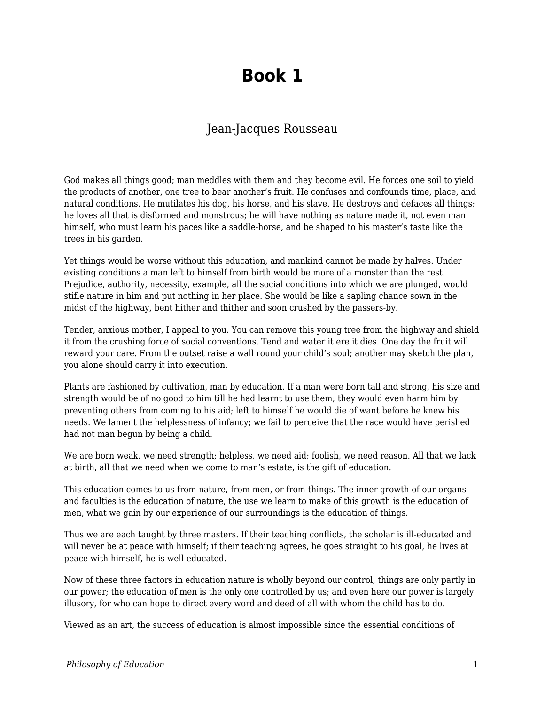## **Book 1**

## Jean-Jacques Rousseau

God makes all things good; man meddles with them and they become evil. He forces one soil to yield the products of another, one tree to bear another's fruit. He confuses and confounds time, place, and natural conditions. He mutilates his dog, his horse, and his slave. He destroys and defaces all things; he loves all that is disformed and monstrous; he will have nothing as nature made it, not even man himself, who must learn his paces like a saddle-horse, and be shaped to his master's taste like the trees in his garden.

Yet things would be worse without this education, and mankind cannot be made by halves. Under existing conditions a man left to himself from birth would be more of a monster than the rest. Prejudice, authority, necessity, example, all the social conditions into which we are plunged, would stifle nature in him and put nothing in her place. She would be like a sapling chance sown in the midst of the highway, bent hither and thither and soon crushed by the passers-by.

Tender, anxious mother, I appeal to you. You can remove this young tree from the highway and shield it from the crushing force of social conventions. Tend and water it ere it dies. One day the fruit will reward your care. From the outset raise a wall round your child's soul; another may sketch the plan, you alone should carry it into execution.

Plants are fashioned by cultivation, man by education. If a man were born tall and strong, his size and strength would be of no good to him till he had learnt to use them; they would even harm him by preventing others from coming to his aid; left to himself he would die of want before he knew his needs. We lament the helplessness of infancy; we fail to perceive that the race would have perished had not man begun by being a child.

We are born weak, we need strength; helpless, we need aid; foolish, we need reason. All that we lack at birth, all that we need when we come to man's estate, is the gift of education.

This education comes to us from nature, from men, or from things. The inner growth of our organs and faculties is the education of nature, the use we learn to make of this growth is the education of men, what we gain by our experience of our surroundings is the education of things.

Thus we are each taught by three masters. If their teaching conflicts, the scholar is ill-educated and will never be at peace with himself; if their teaching agrees, he goes straight to his goal, he lives at peace with himself, he is well-educated.

Now of these three factors in education nature is wholly beyond our control, things are only partly in our power; the education of men is the only one controlled by us; and even here our power is largely illusory, for who can hope to direct every word and deed of all with whom the child has to do.

Viewed as an art, the success of education is almost impossible since the essential conditions of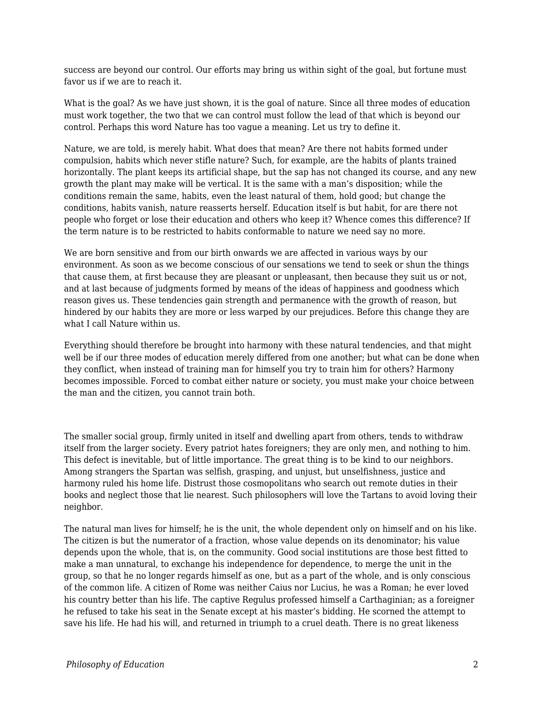success are beyond our control. Our efforts may bring us within sight of the goal, but fortune must favor us if we are to reach it.

What is the goal? As we have just shown, it is the goal of nature. Since all three modes of education must work together, the two that we can control must follow the lead of that which is beyond our control. Perhaps this word Nature has too vague a meaning. Let us try to define it.

Nature, we are told, is merely habit. What does that mean? Are there not habits formed under compulsion, habits which never stifle nature? Such, for example, are the habits of plants trained horizontally. The plant keeps its artificial shape, but the sap has not changed its course, and any new growth the plant may make will be vertical. It is the same with a man's disposition; while the conditions remain the same, habits, even the least natural of them, hold good; but change the conditions, habits vanish, nature reasserts herself. Education itself is but habit, for are there not people who forget or lose their education and others who keep it? Whence comes this difference? If the term nature is to be restricted to habits conformable to nature we need say no more.

We are born sensitive and from our birth onwards we are affected in various ways by our environment. As soon as we become conscious of our sensations we tend to seek or shun the things that cause them, at first because they are pleasant or unpleasant, then because they suit us or not, and at last because of judgments formed by means of the ideas of happiness and goodness which reason gives us. These tendencies gain strength and permanence with the growth of reason, but hindered by our habits they are more or less warped by our prejudices. Before this change they are what I call Nature within us.

Everything should therefore be brought into harmony with these natural tendencies, and that might well be if our three modes of education merely differed from one another; but what can be done when they conflict, when instead of training man for himself you try to train him for others? Harmony becomes impossible. Forced to combat either nature or society, you must make your choice between the man and the citizen, you cannot train both.

The smaller social group, firmly united in itself and dwelling apart from others, tends to withdraw itself from the larger society. Every patriot hates foreigners; they are only men, and nothing to him. This defect is inevitable, but of little importance. The great thing is to be kind to our neighbors. Among strangers the Spartan was selfish, grasping, and unjust, but unselfishness, justice and harmony ruled his home life. Distrust those cosmopolitans who search out remote duties in their books and neglect those that lie nearest. Such philosophers will love the Tartans to avoid loving their neighbor.

The natural man lives for himself; he is the unit, the whole dependent only on himself and on his like. The citizen is but the numerator of a fraction, whose value depends on its denominator; his value depends upon the whole, that is, on the community. Good social institutions are those best fitted to make a man unnatural, to exchange his independence for dependence, to merge the unit in the group, so that he no longer regards himself as one, but as a part of the whole, and is only conscious of the common life. A citizen of Rome was neither Caius nor Lucius, he was a Roman; he ever loved his country better than his life. The captive Regulus professed himself a Carthaginian; as a foreigner he refused to take his seat in the Senate except at his master's bidding. He scorned the attempt to save his life. He had his will, and returned in triumph to a cruel death. There is no great likeness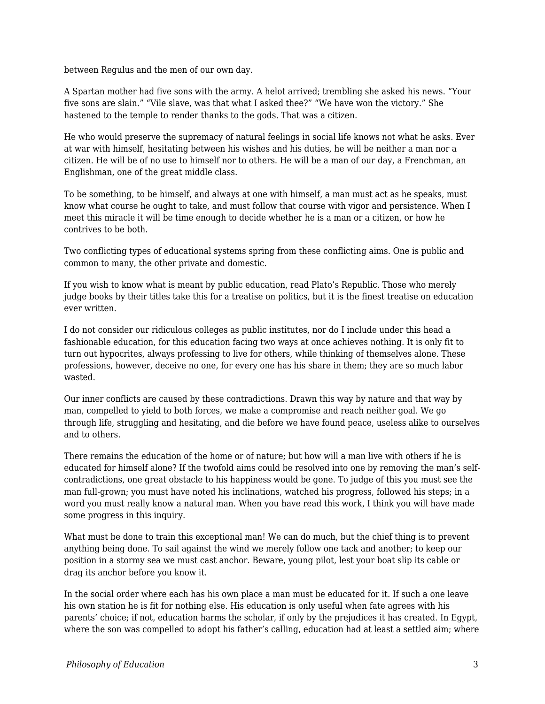between Regulus and the men of our own day.

A Spartan mother had five sons with the army. A helot arrived; trembling she asked his news. "Your five sons are slain." "Vile slave, was that what I asked thee?" "We have won the victory." She hastened to the temple to render thanks to the gods. That was a citizen.

He who would preserve the supremacy of natural feelings in social life knows not what he asks. Ever at war with himself, hesitating between his wishes and his duties, he will be neither a man nor a citizen. He will be of no use to himself nor to others. He will be a man of our day, a Frenchman, an Englishman, one of the great middle class.

To be something, to be himself, and always at one with himself, a man must act as he speaks, must know what course he ought to take, and must follow that course with vigor and persistence. When I meet this miracle it will be time enough to decide whether he is a man or a citizen, or how he contrives to be both.

Two conflicting types of educational systems spring from these conflicting aims. One is public and common to many, the other private and domestic.

If you wish to know what is meant by public education, read Plato's Republic. Those who merely judge books by their titles take this for a treatise on politics, but it is the finest treatise on education ever written.

I do not consider our ridiculous colleges as public institutes, nor do I include under this head a fashionable education, for this education facing two ways at once achieves nothing. It is only fit to turn out hypocrites, always professing to live for others, while thinking of themselves alone. These professions, however, deceive no one, for every one has his share in them; they are so much labor wasted.

Our inner conflicts are caused by these contradictions. Drawn this way by nature and that way by man, compelled to yield to both forces, we make a compromise and reach neither goal. We go through life, struggling and hesitating, and die before we have found peace, useless alike to ourselves and to others.

There remains the education of the home or of nature; but how will a man live with others if he is educated for himself alone? If the twofold aims could be resolved into one by removing the man's selfcontradictions, one great obstacle to his happiness would be gone. To judge of this you must see the man full-grown; you must have noted his inclinations, watched his progress, followed his steps; in a word you must really know a natural man. When you have read this work, I think you will have made some progress in this inquiry.

What must be done to train this exceptional man! We can do much, but the chief thing is to prevent anything being done. To sail against the wind we merely follow one tack and another; to keep our position in a stormy sea we must cast anchor. Beware, young pilot, lest your boat slip its cable or drag its anchor before you know it.

In the social order where each has his own place a man must be educated for it. If such a one leave his own station he is fit for nothing else. His education is only useful when fate agrees with his parents' choice; if not, education harms the scholar, if only by the prejudices it has created. In Egypt, where the son was compelled to adopt his father's calling, education had at least a settled aim; where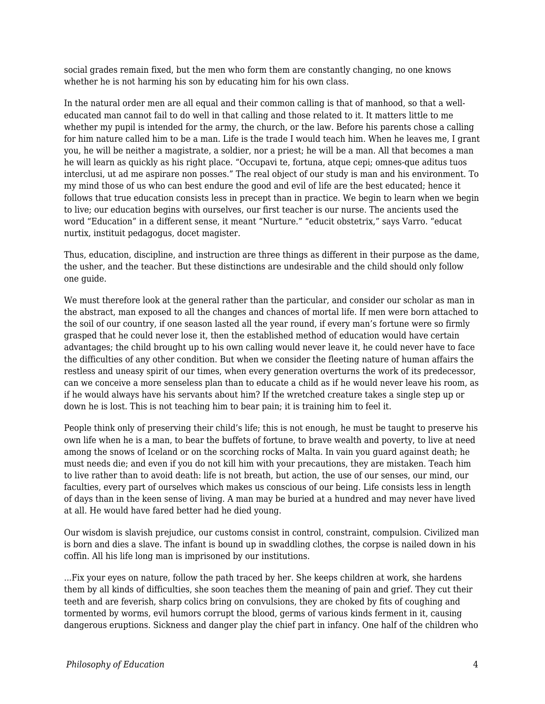social grades remain fixed, but the men who form them are constantly changing, no one knows whether he is not harming his son by educating him for his own class.

In the natural order men are all equal and their common calling is that of manhood, so that a welleducated man cannot fail to do well in that calling and those related to it. It matters little to me whether my pupil is intended for the army, the church, or the law. Before his parents chose a calling for him nature called him to be a man. Life is the trade I would teach him. When he leaves me, I grant you, he will be neither a magistrate, a soldier, nor a priest; he will be a man. All that becomes a man he will learn as quickly as his right place. "Occupavi te, fortuna, atque cepi; omnes-que aditus tuos interclusi, ut ad me aspirare non posses." The real object of our study is man and his environment. To my mind those of us who can best endure the good and evil of life are the best educated; hence it follows that true education consists less in precept than in practice. We begin to learn when we begin to live; our education begins with ourselves, our first teacher is our nurse. The ancients used the word "Education" in a different sense, it meant "Nurture." "educit obstetrix," says Varro. "educat nurtix, instituit pedagogus, docet magister.

Thus, education, discipline, and instruction are three things as different in their purpose as the dame, the usher, and the teacher. But these distinctions are undesirable and the child should only follow one guide.

We must therefore look at the general rather than the particular, and consider our scholar as man in the abstract, man exposed to all the changes and chances of mortal life. If men were born attached to the soil of our country, if one season lasted all the year round, if every man's fortune were so firmly grasped that he could never lose it, then the established method of education would have certain advantages; the child brought up to his own calling would never leave it, he could never have to face the difficulties of any other condition. But when we consider the fleeting nature of human affairs the restless and uneasy spirit of our times, when every generation overturns the work of its predecessor, can we conceive a more senseless plan than to educate a child as if he would never leave his room, as if he would always have his servants about him? If the wretched creature takes a single step up or down he is lost. This is not teaching him to bear pain; it is training him to feel it.

People think only of preserving their child's life; this is not enough, he must be taught to preserve his own life when he is a man, to bear the buffets of fortune, to brave wealth and poverty, to live at need among the snows of Iceland or on the scorching rocks of Malta. In vain you guard against death; he must needs die; and even if you do not kill him with your precautions, they are mistaken. Teach him to live rather than to avoid death: life is not breath, but action, the use of our senses, our mind, our faculties, every part of ourselves which makes us conscious of our being. Life consists less in length of days than in the keen sense of living. A man may be buried at a hundred and may never have lived at all. He would have fared better had he died young.

Our wisdom is slavish prejudice, our customs consist in control, constraint, compulsion. Civilized man is born and dies a slave. The infant is bound up in swaddling clothes, the corpse is nailed down in his coffin. All his life long man is imprisoned by our institutions.

...Fix your eyes on nature, follow the path traced by her. She keeps children at work, she hardens them by all kinds of difficulties, she soon teaches them the meaning of pain and grief. They cut their teeth and are feverish, sharp colics bring on convulsions, they are choked by fits of coughing and tormented by worms, evil humors corrupt the blood, germs of various kinds ferment in it, causing dangerous eruptions. Sickness and danger play the chief part in infancy. One half of the children who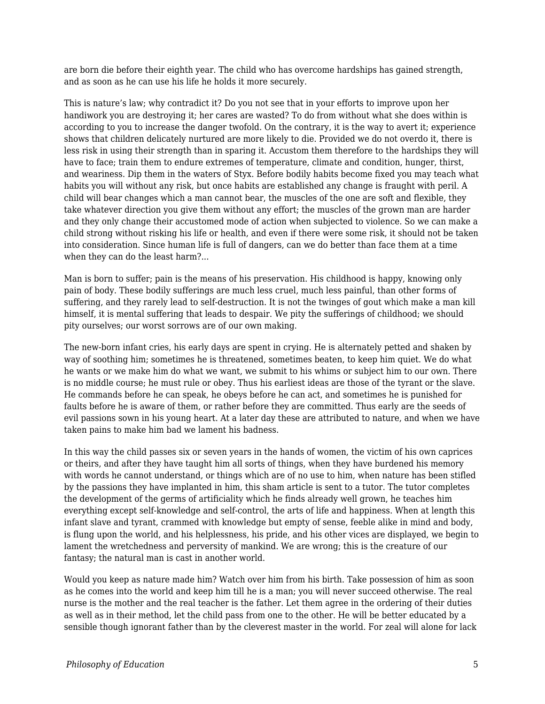are born die before their eighth year. The child who has overcome hardships has gained strength, and as soon as he can use his life he holds it more securely.

This is nature's law; why contradict it? Do you not see that in your efforts to improve upon her handiwork you are destroying it; her cares are wasted? To do from without what she does within is according to you to increase the danger twofold. On the contrary, it is the way to avert it; experience shows that children delicately nurtured are more likely to die. Provided we do not overdo it, there is less risk in using their strength than in sparing it. Accustom them therefore to the hardships they will have to face; train them to endure extremes of temperature, climate and condition, hunger, thirst, and weariness. Dip them in the waters of Styx. Before bodily habits become fixed you may teach what habits you will without any risk, but once habits are established any change is fraught with peril. A child will bear changes which a man cannot bear, the muscles of the one are soft and flexible, they take whatever direction you give them without any effort; the muscles of the grown man are harder and they only change their accustomed mode of action when subjected to violence. So we can make a child strong without risking his life or health, and even if there were some risk, it should not be taken into consideration. Since human life is full of dangers, can we do better than face them at a time when they can do the least harm?...

Man is born to suffer; pain is the means of his preservation. His childhood is happy, knowing only pain of body. These bodily sufferings are much less cruel, much less painful, than other forms of suffering, and they rarely lead to self-destruction. It is not the twinges of gout which make a man kill himself, it is mental suffering that leads to despair. We pity the sufferings of childhood; we should pity ourselves; our worst sorrows are of our own making.

The new-born infant cries, his early days are spent in crying. He is alternately petted and shaken by way of soothing him; sometimes he is threatened, sometimes beaten, to keep him quiet. We do what he wants or we make him do what we want, we submit to his whims or subject him to our own. There is no middle course; he must rule or obey. Thus his earliest ideas are those of the tyrant or the slave. He commands before he can speak, he obeys before he can act, and sometimes he is punished for faults before he is aware of them, or rather before they are committed. Thus early are the seeds of evil passions sown in his young heart. At a later day these are attributed to nature, and when we have taken pains to make him bad we lament his badness.

In this way the child passes six or seven years in the hands of women, the victim of his own caprices or theirs, and after they have taught him all sorts of things, when they have burdened his memory with words he cannot understand, or things which are of no use to him, when nature has been stifled by the passions they have implanted in him, this sham article is sent to a tutor. The tutor completes the development of the germs of artificiality which he finds already well grown, he teaches him everything except self-knowledge and self-control, the arts of life and happiness. When at length this infant slave and tyrant, crammed with knowledge but empty of sense, feeble alike in mind and body, is flung upon the world, and his helplessness, his pride, and his other vices are displayed, we begin to lament the wretchedness and perversity of mankind. We are wrong; this is the creature of our fantasy; the natural man is cast in another world.

Would you keep as nature made him? Watch over him from his birth. Take possession of him as soon as he comes into the world and keep him till he is a man; you will never succeed otherwise. The real nurse is the mother and the real teacher is the father. Let them agree in the ordering of their duties as well as in their method, let the child pass from one to the other. He will be better educated by a sensible though ignorant father than by the cleverest master in the world. For zeal will alone for lack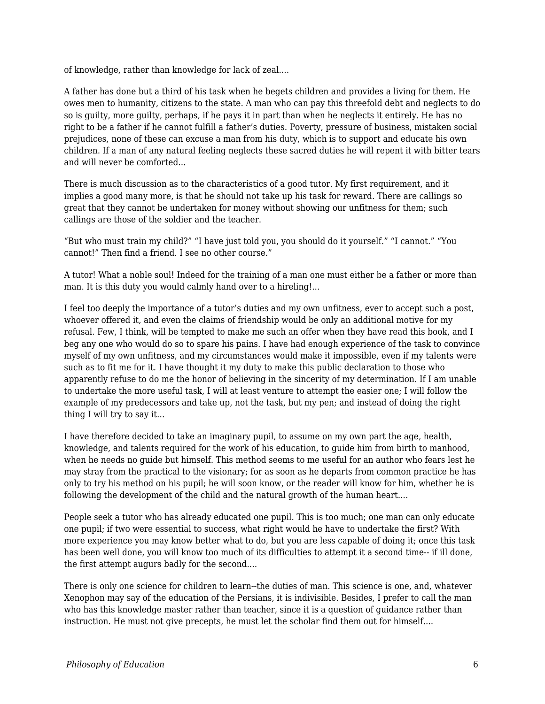of knowledge, rather than knowledge for lack of zeal....

A father has done but a third of his task when he begets children and provides a living for them. He owes men to humanity, citizens to the state. A man who can pay this threefold debt and neglects to do so is guilty, more guilty, perhaps, if he pays it in part than when he neglects it entirely. He has no right to be a father if he cannot fulfill a father's duties. Poverty, pressure of business, mistaken social prejudices, none of these can excuse a man from his duty, which is to support and educate his own children. If a man of any natural feeling neglects these sacred duties he will repent it with bitter tears and will never be comforted...

There is much discussion as to the characteristics of a good tutor. My first requirement, and it implies a good many more, is that he should not take up his task for reward. There are callings so great that they cannot be undertaken for money without showing our unfitness for them; such callings are those of the soldier and the teacher.

"But who must train my child?" "I have just told you, you should do it yourself." "I cannot." "You cannot!" Then find a friend. I see no other course."

A tutor! What a noble soul! Indeed for the training of a man one must either be a father or more than man. It is this duty you would calmly hand over to a hireling!...

I feel too deeply the importance of a tutor's duties and my own unfitness, ever to accept such a post, whoever offered it, and even the claims of friendship would be only an additional motive for my refusal. Few, I think, will be tempted to make me such an offer when they have read this book, and I beg any one who would do so to spare his pains. I have had enough experience of the task to convince myself of my own unfitness, and my circumstances would make it impossible, even if my talents were such as to fit me for it. I have thought it my duty to make this public declaration to those who apparently refuse to do me the honor of believing in the sincerity of my determination. If I am unable to undertake the more useful task, I will at least venture to attempt the easier one; I will follow the example of my predecessors and take up, not the task, but my pen; and instead of doing the right thing I will try to say it...

I have therefore decided to take an imaginary pupil, to assume on my own part the age, health, knowledge, and talents required for the work of his education, to guide him from birth to manhood, when he needs no guide but himself. This method seems to me useful for an author who fears lest he may stray from the practical to the visionary; for as soon as he departs from common practice he has only to try his method on his pupil; he will soon know, or the reader will know for him, whether he is following the development of the child and the natural growth of the human heart....

People seek a tutor who has already educated one pupil. This is too much; one man can only educate one pupil; if two were essential to success, what right would he have to undertake the first? With more experience you may know better what to do, but you are less capable of doing it; once this task has been well done, you will know too much of its difficulties to attempt it a second time-- if ill done, the first attempt augurs badly for the second....

There is only one science for children to learn--the duties of man. This science is one, and, whatever Xenophon may say of the education of the Persians, it is indivisible. Besides, I prefer to call the man who has this knowledge master rather than teacher, since it is a question of guidance rather than instruction. He must not give precepts, he must let the scholar find them out for himself....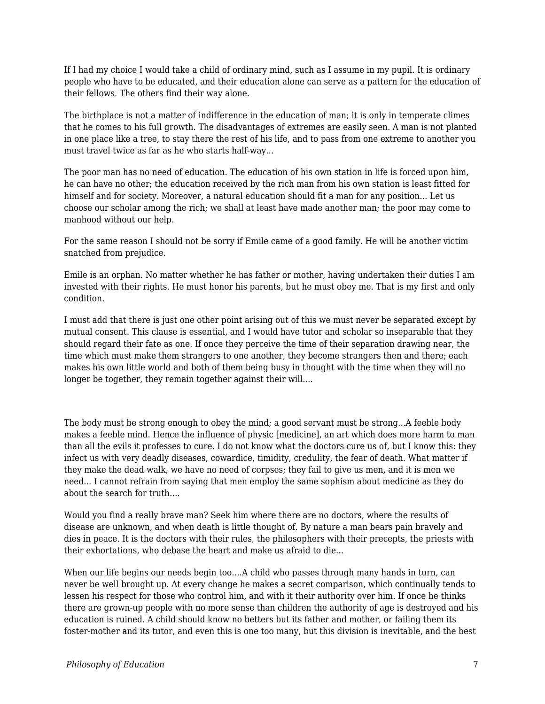If I had my choice I would take a child of ordinary mind, such as I assume in my pupil. It is ordinary people who have to be educated, and their education alone can serve as a pattern for the education of their fellows. The others find their way alone.

The birthplace is not a matter of indifference in the education of man; it is only in temperate climes that he comes to his full growth. The disadvantages of extremes are easily seen. A man is not planted in one place like a tree, to stay there the rest of his life, and to pass from one extreme to another you must travel twice as far as he who starts half-way...

The poor man has no need of education. The education of his own station in life is forced upon him, he can have no other; the education received by the rich man from his own station is least fitted for himself and for society. Moreover, a natural education should fit a man for any position... Let us choose our scholar among the rich; we shall at least have made another man; the poor may come to manhood without our help.

For the same reason I should not be sorry if Emile came of a good family. He will be another victim snatched from prejudice.

Emile is an orphan. No matter whether he has father or mother, having undertaken their duties I am invested with their rights. He must honor his parents, but he must obey me. That is my first and only condition.

I must add that there is just one other point arising out of this we must never be separated except by mutual consent. This clause is essential, and I would have tutor and scholar so inseparable that they should regard their fate as one. If once they perceive the time of their separation drawing near, the time which must make them strangers to one another, they become strangers then and there; each makes his own little world and both of them being busy in thought with the time when they will no longer be together, they remain together against their will....

The body must be strong enough to obey the mind; a good servant must be strong...A feeble body makes a feeble mind. Hence the influence of physic [medicine], an art which does more harm to man than all the evils it professes to cure. I do not know what the doctors cure us of, but I know this: they infect us with very deadly diseases, cowardice, timidity, credulity, the fear of death. What matter if they make the dead walk, we have no need of corpses; they fail to give us men, and it is men we need... I cannot refrain from saying that men employ the same sophism about medicine as they do about the search for truth....

Would you find a really brave man? Seek him where there are no doctors, where the results of disease are unknown, and when death is little thought of. By nature a man bears pain bravely and dies in peace. It is the doctors with their rules, the philosophers with their precepts, the priests with their exhortations, who debase the heart and make us afraid to die...

When our life begins our needs begin too....A child who passes through many hands in turn, can never be well brought up. At every change he makes a secret comparison, which continually tends to lessen his respect for those who control him, and with it their authority over him. If once he thinks there are grown-up people with no more sense than children the authority of age is destroyed and his education is ruined. A child should know no betters but its father and mother, or failing them its foster-mother and its tutor, and even this is one too many, but this division is inevitable, and the best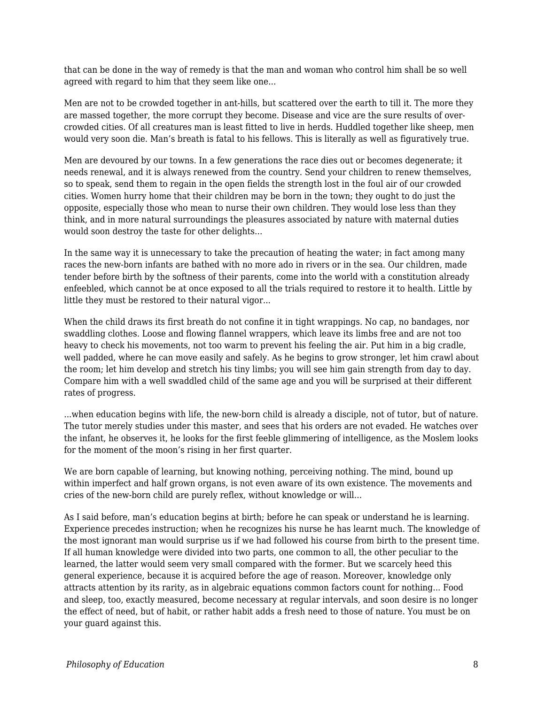that can be done in the way of remedy is that the man and woman who control him shall be so well agreed with regard to him that they seem like one...

Men are not to be crowded together in ant-hills, but scattered over the earth to till it. The more they are massed together, the more corrupt they become. Disease and vice are the sure results of overcrowded cities. Of all creatures man is least fitted to live in herds. Huddled together like sheep, men would very soon die. Man's breath is fatal to his fellows. This is literally as well as figuratively true.

Men are devoured by our towns. In a few generations the race dies out or becomes degenerate; it needs renewal, and it is always renewed from the country. Send your children to renew themselves, so to speak, send them to regain in the open fields the strength lost in the foul air of our crowded cities. Women hurry home that their children may be born in the town; they ought to do just the opposite, especially those who mean to nurse their own children. They would lose less than they think, and in more natural surroundings the pleasures associated by nature with maternal duties would soon destroy the taste for other delights...

In the same way it is unnecessary to take the precaution of heating the water; in fact among many races the new-born infants are bathed with no more ado in rivers or in the sea. Our children, made tender before birth by the softness of their parents, come into the world with a constitution already enfeebled, which cannot be at once exposed to all the trials required to restore it to health. Little by little they must be restored to their natural vigor...

When the child draws its first breath do not confine it in tight wrappings. No cap, no bandages, nor swaddling clothes. Loose and flowing flannel wrappers, which leave its limbs free and are not too heavy to check his movements, not too warm to prevent his feeling the air. Put him in a big cradle, well padded, where he can move easily and safely. As he begins to grow stronger, let him crawl about the room; let him develop and stretch his tiny limbs; you will see him gain strength from day to day. Compare him with a well swaddled child of the same age and you will be surprised at their different rates of progress.

...when education begins with life, the new-born child is already a disciple, not of tutor, but of nature. The tutor merely studies under this master, and sees that his orders are not evaded. He watches over the infant, he observes it, he looks for the first feeble glimmering of intelligence, as the Moslem looks for the moment of the moon's rising in her first quarter.

We are born capable of learning, but knowing nothing, perceiving nothing. The mind, bound up within imperfect and half grown organs, is not even aware of its own existence. The movements and cries of the new-born child are purely reflex, without knowledge or will...

As I said before, man's education begins at birth; before he can speak or understand he is learning. Experience precedes instruction; when he recognizes his nurse he has learnt much. The knowledge of the most ignorant man would surprise us if we had followed his course from birth to the present time. If all human knowledge were divided into two parts, one common to all, the other peculiar to the learned, the latter would seem very small compared with the former. But we scarcely heed this general experience, because it is acquired before the age of reason. Moreover, knowledge only attracts attention by its rarity, as in algebraic equations common factors count for nothing... Food and sleep, too, exactly measured, become necessary at regular intervals, and soon desire is no longer the effect of need, but of habit, or rather habit adds a fresh need to those of nature. You must be on your guard against this.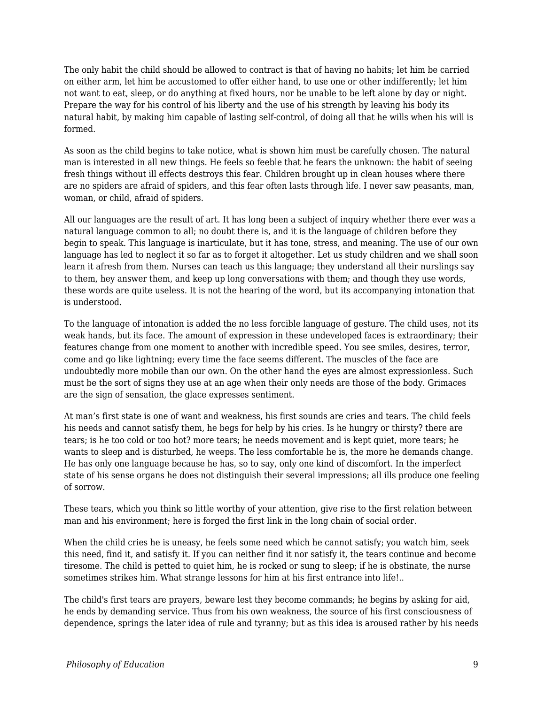The only habit the child should be allowed to contract is that of having no habits; let him be carried on either arm, let him be accustomed to offer either hand, to use one or other indifferently; let him not want to eat, sleep, or do anything at fixed hours, nor be unable to be left alone by day or night. Prepare the way for his control of his liberty and the use of his strength by leaving his body its natural habit, by making him capable of lasting self-control, of doing all that he wills when his will is formed.

As soon as the child begins to take notice, what is shown him must be carefully chosen. The natural man is interested in all new things. He feels so feeble that he fears the unknown: the habit of seeing fresh things without ill effects destroys this fear. Children brought up in clean houses where there are no spiders are afraid of spiders, and this fear often lasts through life. I never saw peasants, man, woman, or child, afraid of spiders.

All our languages are the result of art. It has long been a subject of inquiry whether there ever was a natural language common to all; no doubt there is, and it is the language of children before they begin to speak. This language is inarticulate, but it has tone, stress, and meaning. The use of our own language has led to neglect it so far as to forget it altogether. Let us study children and we shall soon learn it afresh from them. Nurses can teach us this language; they understand all their nurslings say to them, hey answer them, and keep up long conversations with them; and though they use words, these words are quite useless. It is not the hearing of the word, but its accompanying intonation that is understood.

To the language of intonation is added the no less forcible language of gesture. The child uses, not its weak hands, but its face. The amount of expression in these undeveloped faces is extraordinary; their features change from one moment to another with incredible speed. You see smiles, desires, terror, come and go like lightning; every time the face seems different. The muscles of the face are undoubtedly more mobile than our own. On the other hand the eyes are almost expressionless. Such must be the sort of signs they use at an age when their only needs are those of the body. Grimaces are the sign of sensation, the glace expresses sentiment.

At man's first state is one of want and weakness, his first sounds are cries and tears. The child feels his needs and cannot satisfy them, he begs for help by his cries. Is he hungry or thirsty? there are tears; is he too cold or too hot? more tears; he needs movement and is kept quiet, more tears; he wants to sleep and is disturbed, he weeps. The less comfortable he is, the more he demands change. He has only one language because he has, so to say, only one kind of discomfort. In the imperfect state of his sense organs he does not distinguish their several impressions; all ills produce one feeling of sorrow.

These tears, which you think so little worthy of your attention, give rise to the first relation between man and his environment; here is forged the first link in the long chain of social order.

When the child cries he is uneasy, he feels some need which he cannot satisfy; you watch him, seek this need, find it, and satisfy it. If you can neither find it nor satisfy it, the tears continue and become tiresome. The child is petted to quiet him, he is rocked or sung to sleep; if he is obstinate, the nurse sometimes strikes him. What strange lessons for him at his first entrance into life!..

The child's first tears are prayers, beware lest they become commands; he begins by asking for aid, he ends by demanding service. Thus from his own weakness, the source of his first consciousness of dependence, springs the later idea of rule and tyranny; but as this idea is aroused rather by his needs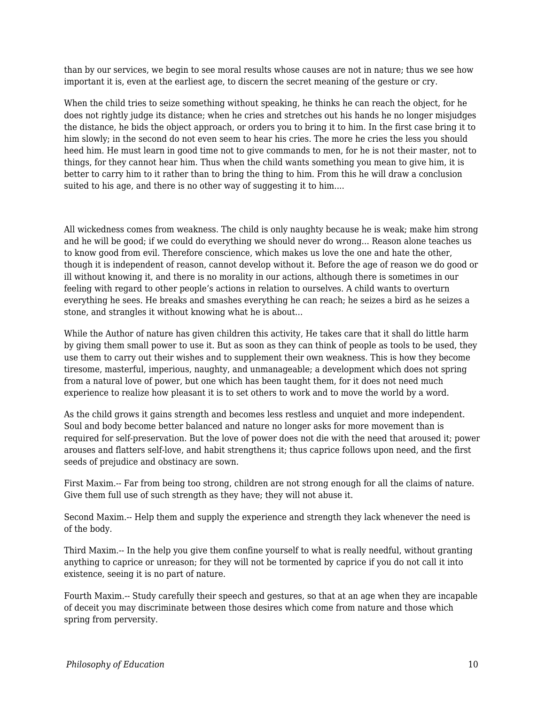than by our services, we begin to see moral results whose causes are not in nature; thus we see how important it is, even at the earliest age, to discern the secret meaning of the gesture or cry.

When the child tries to seize something without speaking, he thinks he can reach the object, for he does not rightly judge its distance; when he cries and stretches out his hands he no longer misjudges the distance, he bids the object approach, or orders you to bring it to him. In the first case bring it to him slowly; in the second do not even seem to hear his cries. The more he cries the less you should heed him. He must learn in good time not to give commands to men, for he is not their master, not to things, for they cannot hear him. Thus when the child wants something you mean to give him, it is better to carry him to it rather than to bring the thing to him. From this he will draw a conclusion suited to his age, and there is no other way of suggesting it to him....

All wickedness comes from weakness. The child is only naughty because he is weak; make him strong and he will be good; if we could do everything we should never do wrong... Reason alone teaches us to know good from evil. Therefore conscience, which makes us love the one and hate the other, though it is independent of reason, cannot develop without it. Before the age of reason we do good or ill without knowing it, and there is no morality in our actions, although there is sometimes in our feeling with regard to other people's actions in relation to ourselves. A child wants to overturn everything he sees. He breaks and smashes everything he can reach; he seizes a bird as he seizes a stone, and strangles it without knowing what he is about...

While the Author of nature has given children this activity, He takes care that it shall do little harm by giving them small power to use it. But as soon as they can think of people as tools to be used, they use them to carry out their wishes and to supplement their own weakness. This is how they become tiresome, masterful, imperious, naughty, and unmanageable; a development which does not spring from a natural love of power, but one which has been taught them, for it does not need much experience to realize how pleasant it is to set others to work and to move the world by a word.

As the child grows it gains strength and becomes less restless and unquiet and more independent. Soul and body become better balanced and nature no longer asks for more movement than is required for self-preservation. But the love of power does not die with the need that aroused it; power arouses and flatters self-love, and habit strengthens it; thus caprice follows upon need, and the first seeds of prejudice and obstinacy are sown.

First Maxim.-- Far from being too strong, children are not strong enough for all the claims of nature. Give them full use of such strength as they have; they will not abuse it.

Second Maxim.-- Help them and supply the experience and strength they lack whenever the need is of the body.

Third Maxim.-- In the help you give them confine yourself to what is really needful, without granting anything to caprice or unreason; for they will not be tormented by caprice if you do not call it into existence, seeing it is no part of nature.

Fourth Maxim.-- Study carefully their speech and gestures, so that at an age when they are incapable of deceit you may discriminate between those desires which come from nature and those which spring from perversity.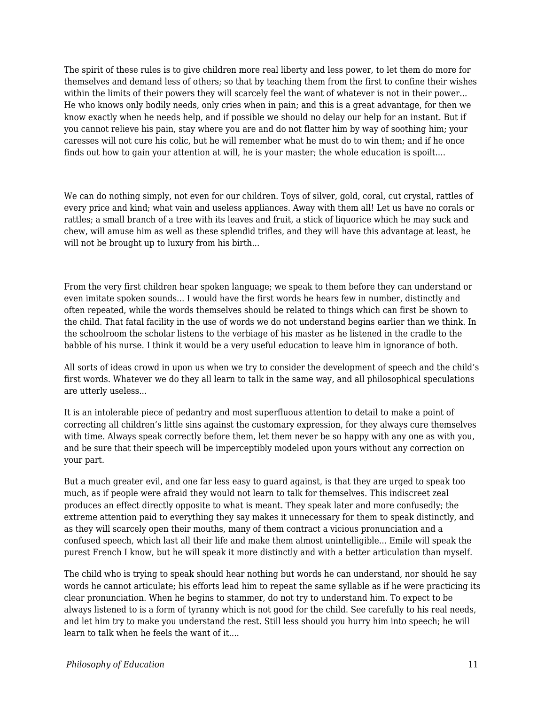The spirit of these rules is to give children more real liberty and less power, to let them do more for themselves and demand less of others; so that by teaching them from the first to confine their wishes within the limits of their powers they will scarcely feel the want of whatever is not in their power... He who knows only bodily needs, only cries when in pain; and this is a great advantage, for then we know exactly when he needs help, and if possible we should no delay our help for an instant. But if you cannot relieve his pain, stay where you are and do not flatter him by way of soothing him; your caresses will not cure his colic, but he will remember what he must do to win them; and if he once finds out how to gain your attention at will, he is your master; the whole education is spoilt....

We can do nothing simply, not even for our children. Toys of silver, gold, coral, cut crystal, rattles of every price and kind; what vain and useless appliances. Away with them all! Let us have no corals or rattles; a small branch of a tree with its leaves and fruit, a stick of liquorice which he may suck and chew, will amuse him as well as these splendid trifles, and they will have this advantage at least, he will not be brought up to luxury from his birth...

From the very first children hear spoken language; we speak to them before they can understand or even imitate spoken sounds... I would have the first words he hears few in number, distinctly and often repeated, while the words themselves should be related to things which can first be shown to the child. That fatal facility in the use of words we do not understand begins earlier than we think. In the schoolroom the scholar listens to the verbiage of his master as he listened in the cradle to the babble of his nurse. I think it would be a very useful education to leave him in ignorance of both.

All sorts of ideas crowd in upon us when we try to consider the development of speech and the child's first words. Whatever we do they all learn to talk in the same way, and all philosophical speculations are utterly useless...

It is an intolerable piece of pedantry and most superfluous attention to detail to make a point of correcting all children's little sins against the customary expression, for they always cure themselves with time. Always speak correctly before them, let them never be so happy with any one as with you, and be sure that their speech will be imperceptibly modeled upon yours without any correction on your part.

But a much greater evil, and one far less easy to guard against, is that they are urged to speak too much, as if people were afraid they would not learn to talk for themselves. This indiscreet zeal produces an effect directly opposite to what is meant. They speak later and more confusedly; the extreme attention paid to everything they say makes it unnecessary for them to speak distinctly, and as they will scarcely open their mouths, many of them contract a vicious pronunciation and a confused speech, which last all their life and make them almost unintelligible... Emile will speak the purest French I know, but he will speak it more distinctly and with a better articulation than myself.

The child who is trying to speak should hear nothing but words he can understand, nor should he say words he cannot articulate; his efforts lead him to repeat the same syllable as if he were practicing its clear pronunciation. When he begins to stammer, do not try to understand him. To expect to be always listened to is a form of tyranny which is not good for the child. See carefully to his real needs, and let him try to make you understand the rest. Still less should you hurry him into speech; he will learn to talk when he feels the want of it....